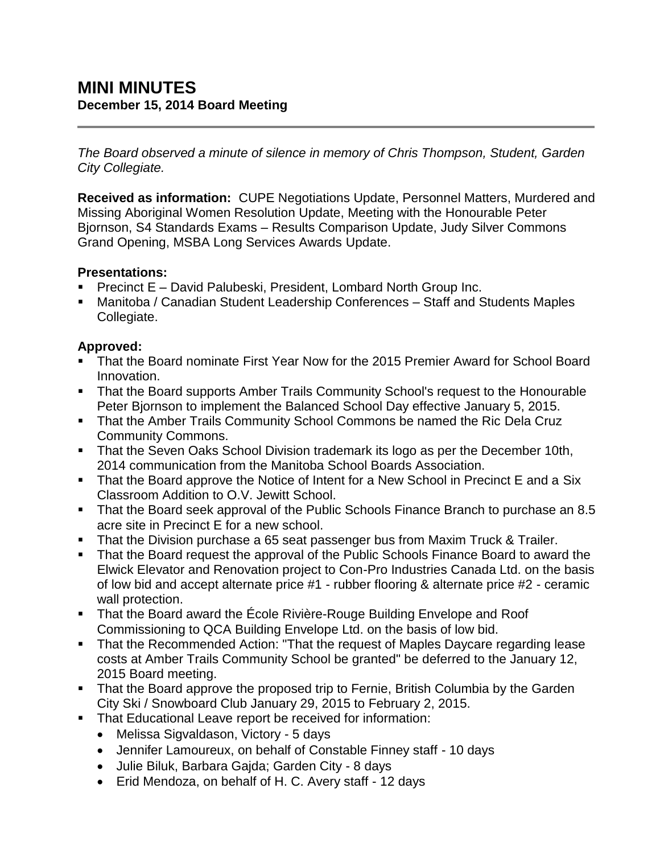*The Board observed a minute of silence in memory of Chris Thompson, Student, Garden City Collegiate.*

**Received as information:** CUPE Negotiations Update, Personnel Matters, Murdered and Missing Aboriginal Women Resolution Update, Meeting with the Honourable Peter Bjornson, S4 Standards Exams – Results Comparison Update, Judy Silver Commons Grand Opening, MSBA Long Services Awards Update.

### **Presentations:**

- Precinct E David Palubeski, President, Lombard North Group Inc.
- Manitoba / Canadian Student Leadership Conferences Staff and Students Maples Collegiate.

# **Approved:**

- That the Board nominate First Year Now for the 2015 Premier Award for School Board Innovation.
- That the Board supports Amber Trails Community School's request to the Honourable Peter Bjornson to implement the Balanced School Day effective January 5, 2015.
- **That the Amber Trails Community School Commons be named the Ric Dela Cruz** Community Commons.
- **That the Seven Oaks School Division trademark its logo as per the December 10th,** 2014 communication from the Manitoba School Boards Association.
- That the Board approve the Notice of Intent for a New School in Precinct E and a Six Classroom Addition to O.V. Jewitt School.
- That the Board seek approval of the Public Schools Finance Branch to purchase an 8.5 acre site in Precinct E for a new school.
- **That the Division purchase a 65 seat passenger bus from Maxim Truck & Trailer.**
- That the Board request the approval of the Public Schools Finance Board to award the Elwick Elevator and Renovation project to Con-Pro Industries Canada Ltd. on the basis of low bid and accept alternate price #1 - rubber flooring & alternate price #2 - ceramic wall protection.
- That the Board award the École Rivière-Rouge Building Envelope and Roof Commissioning to QCA Building Envelope Ltd. on the basis of low bid.
- That the Recommended Action: "That the request of Maples Daycare regarding lease costs at Amber Trails Community School be granted" be deferred to the January 12, 2015 Board meeting.
- That the Board approve the proposed trip to Fernie, British Columbia by the Garden City Ski / Snowboard Club January 29, 2015 to February 2, 2015.
- **That Educational Leave report be received for information:** 
	- Melissa Sigvaldason, Victory 5 days
	- Jennifer Lamoureux, on behalf of Constable Finney staff 10 days
	- Julie Biluk, Barbara Gajda; Garden City 8 days
	- Erid Mendoza, on behalf of H. C. Avery staff 12 days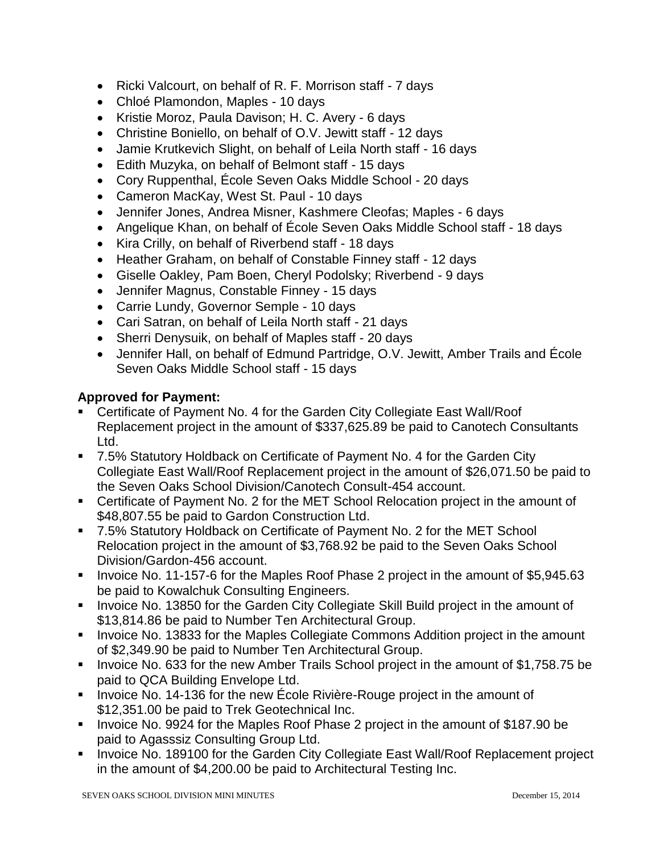- Ricki Valcourt, on behalf of R. F. Morrison staff 7 days
- Chloé Plamondon, Maples 10 days
- Kristie Moroz, Paula Davison; H. C. Avery 6 days
- Christine Boniello, on behalf of O.V. Jewitt staff 12 days
- Jamie Krutkevich Slight, on behalf of Leila North staff 16 days
- Edith Muzyka, on behalf of Belmont staff 15 days
- Cory Ruppenthal, École Seven Oaks Middle School 20 days
- Cameron MacKay, West St. Paul 10 days
- Jennifer Jones, Andrea Misner, Kashmere Cleofas; Maples 6 days
- Angelique Khan, on behalf of École Seven Oaks Middle School staff 18 days
- Kira Crilly, on behalf of Riverbend staff 18 days
- Heather Graham, on behalf of Constable Finney staff 12 days
- Giselle Oakley, Pam Boen, Cheryl Podolsky; Riverbend 9 days
- Jennifer Magnus, Constable Finney 15 days
- Carrie Lundy, Governor Semple 10 days
- Cari Satran, on behalf of Leila North staff 21 days
- Sherri Denysuik, on behalf of Maples staff 20 days
- Jennifer Hall, on behalf of Edmund Partridge, O.V. Jewitt, Amber Trails and École Seven Oaks Middle School staff - 15 days

#### **Approved for Payment:**

- Certificate of Payment No. 4 for the Garden City Collegiate East Wall/Roof Replacement project in the amount of \$337,625.89 be paid to Canotech Consultants Ltd.
- 7.5% Statutory Holdback on Certificate of Payment No. 4 for the Garden City Collegiate East Wall/Roof Replacement project in the amount of \$26,071.50 be paid to the Seven Oaks School Division/Canotech Consult-454 account.
- Certificate of Payment No. 2 for the MET School Relocation project in the amount of \$48,807.55 be paid to Gardon Construction Ltd.
- 7.5% Statutory Holdback on Certificate of Payment No. 2 for the MET School Relocation project in the amount of \$3,768.92 be paid to the Seven Oaks School Division/Gardon-456 account.
- Invoice No. 11-157-6 for the Maples Roof Phase 2 project in the amount of \$5,945.63 be paid to Kowalchuk Consulting Engineers.
- **Invoice No. 13850 for the Garden City Collegiate Skill Build project in the amount of** \$13,814.86 be paid to Number Ten Architectural Group.
- **IDED** Invoice No. 13833 for the Maples Collegiate Commons Addition project in the amount of \$2,349.90 be paid to Number Ten Architectural Group.
- Invoice No. 633 for the new Amber Trails School project in the amount of \$1,758.75 be paid to QCA Building Envelope Ltd.
- Invoice No. 14-136 for the new Ecole Rivière-Rouge project in the amount of \$12,351.00 be paid to Trek Geotechnical Inc.
- Invoice No. 9924 for the Maples Roof Phase 2 project in the amount of \$187.90 be paid to Agasssiz Consulting Group Ltd.
- **Invoice No. 189100 for the Garden City Collegiate East Wall/Roof Replacement project** in the amount of \$4,200.00 be paid to Architectural Testing Inc.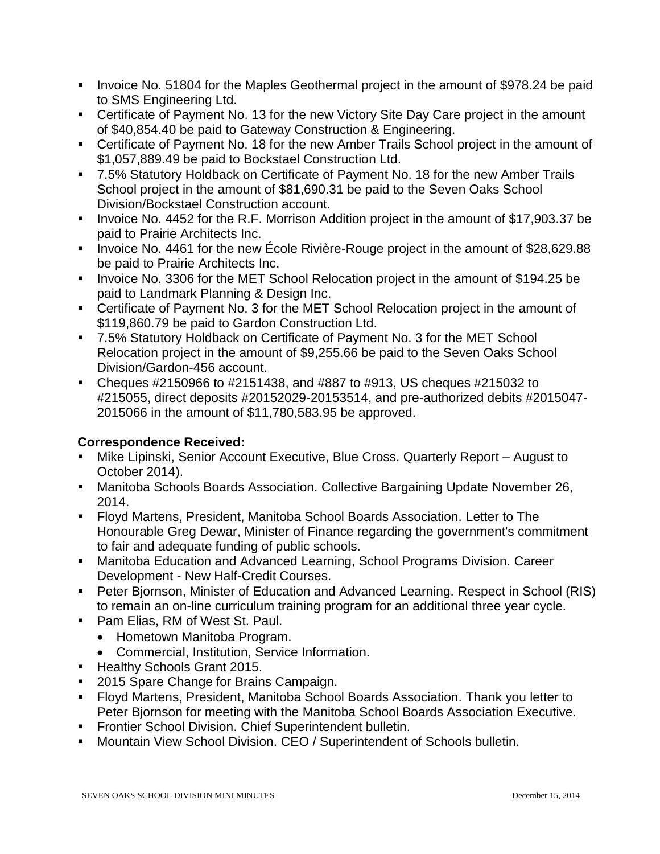- Invoice No. 51804 for the Maples Geothermal project in the amount of \$978.24 be paid to SMS Engineering Ltd.
- Certificate of Payment No. 13 for the new Victory Site Day Care project in the amount of \$40,854.40 be paid to Gateway Construction & Engineering.
- Certificate of Payment No. 18 for the new Amber Trails School project in the amount of \$1,057,889.49 be paid to Bockstael Construction Ltd.
- 7.5% Statutory Holdback on Certificate of Payment No. 18 for the new Amber Trails School project in the amount of \$81,690.31 be paid to the Seven Oaks School Division/Bockstael Construction account.
- Invoice No. 4452 for the R.F. Morrison Addition project in the amount of \$17,903.37 be paid to Prairie Architects Inc.
- Invoice No. 4461 for the new École Rivière-Rouge project in the amount of \$28,629.88 be paid to Prairie Architects Inc.
- Invoice No. 3306 for the MET School Relocation project in the amount of \$194.25 be paid to Landmark Planning & Design Inc.
- Certificate of Payment No. 3 for the MET School Relocation project in the amount of \$119,860.79 be paid to Gardon Construction Ltd.
- 7.5% Statutory Holdback on Certificate of Payment No. 3 for the MET School Relocation project in the amount of \$9,255.66 be paid to the Seven Oaks School Division/Gardon-456 account.
- Cheques  $\#2150966$  to  $\#2151438$ , and  $\#887$  to  $\#913$ , US cheques  $\#215032$  to #215055, direct deposits #20152029-20153514, and pre-authorized debits #2015047- 2015066 in the amount of \$11,780,583.95 be approved.

# **Correspondence Received:**

- Mike Lipinski, Senior Account Executive, Blue Cross. Quarterly Report August to October 2014).
- Manitoba Schools Boards Association. Collective Bargaining Update November 26, 2014.
- Floyd Martens, President, Manitoba School Boards Association. Letter to The Honourable Greg Dewar, Minister of Finance regarding the government's commitment to fair and adequate funding of public schools.
- Manitoba Education and Advanced Learning, School Programs Division. Career Development - New Half-Credit Courses.
- Peter Bjornson, Minister of Education and Advanced Learning. Respect in School (RIS) to remain an on-line curriculum training program for an additional three year cycle.
- **Pam Elias, RM of West St. Paul.** 
	- Hometown Manitoba Program.
	- Commercial, Institution, Service Information.
- Healthy Schools Grant 2015.
- 2015 Spare Change for Brains Campaign.
- Floyd Martens, President, Manitoba School Boards Association. Thank you letter to Peter Bjornson for meeting with the Manitoba School Boards Association Executive.
- **Frontier School Division. Chief Superintendent bulletin.**
- **Mountain View School Division. CEO / Superintendent of Schools bulletin.**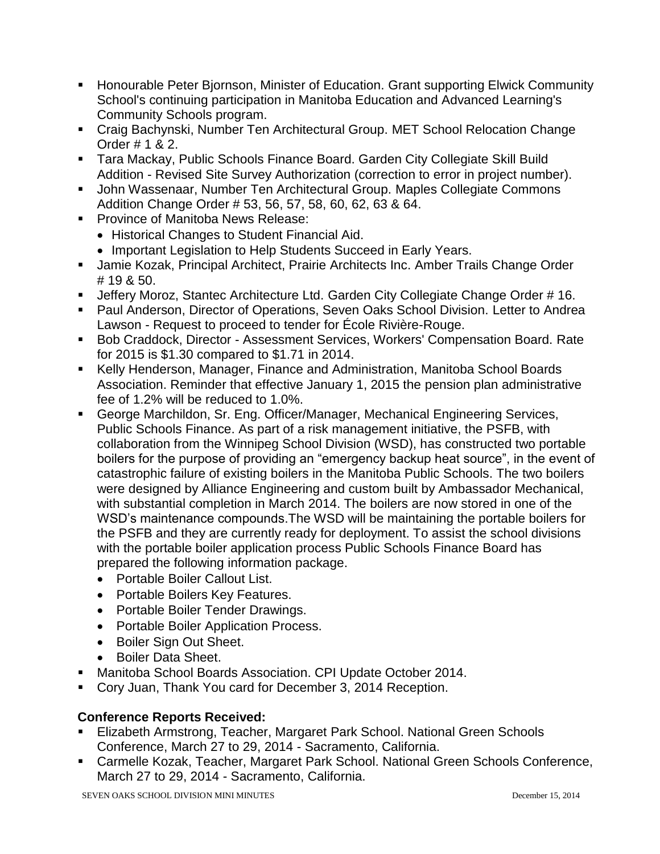- **Honourable Peter Biornson, Minister of Education. Grant supporting Elwick Community** School's continuing participation in Manitoba Education and Advanced Learning's Community Schools program.
- Craig Bachynski, Number Ten Architectural Group. MET School Relocation Change Order # 1 & 2.
- Tara Mackay, Public Schools Finance Board. Garden City Collegiate Skill Build Addition - Revised Site Survey Authorization (correction to error in project number).
- John Wassenaar, Number Ten Architectural Group. Maples Collegiate Commons Addition Change Order # 53, 56, 57, 58, 60, 62, 63 & 64.
- **Province of Manitoba News Release:** 
	- Historical Changes to Student Financial Aid.
	- Important Legislation to Help Students Succeed in Early Years.
- **Jamie Kozak, Principal Architect, Prairie Architects Inc. Amber Trails Change Order** # 19 & 50.
- **Jeffery Moroz, Stantec Architecture Ltd. Garden City Collegiate Change Order #16.**
- Paul Anderson, Director of Operations, Seven Oaks School Division. Letter to Andrea Lawson - Request to proceed to tender for École Rivière-Rouge.
- Bob Craddock, Director Assessment Services, Workers' Compensation Board. Rate for 2015 is \$1.30 compared to \$1.71 in 2014.
- Kelly Henderson, Manager, Finance and Administration, Manitoba School Boards Association. Reminder that effective January 1, 2015 the pension plan administrative fee of 1.2% will be reduced to 1.0%.
- George Marchildon, Sr. Eng. Officer/Manager, Mechanical Engineering Services, Public Schools Finance. As part of a risk management initiative, the PSFB, with collaboration from the Winnipeg School Division (WSD), has constructed two portable boilers for the purpose of providing an "emergency backup heat source", in the event of catastrophic failure of existing boilers in the Manitoba Public Schools. The two boilers were designed by Alliance Engineering and custom built by Ambassador Mechanical, with substantial completion in March 2014. The boilers are now stored in one of the WSD's maintenance compounds.The WSD will be maintaining the portable boilers for the PSFB and they are currently ready for deployment. To assist the school divisions with the portable boiler application process Public Schools Finance Board has prepared the following information package.
	- Portable Boiler Callout List.
	- Portable Boilers Key Features.
	- Portable Boiler Tender Drawings.
	- Portable Boiler Application Process.
	- Boiler Sign Out Sheet.
	- Boiler Data Sheet.
- Manitoba School Boards Association. CPI Update October 2014.
- Cory Juan, Thank You card for December 3, 2014 Reception.

### **Conference Reports Received:**

- Elizabeth Armstrong, Teacher, Margaret Park School. National Green Schools Conference, March 27 to 29, 2014 - Sacramento, California.
- Carmelle Kozak, Teacher, Margaret Park School. National Green Schools Conference, March 27 to 29, 2014 - Sacramento, California.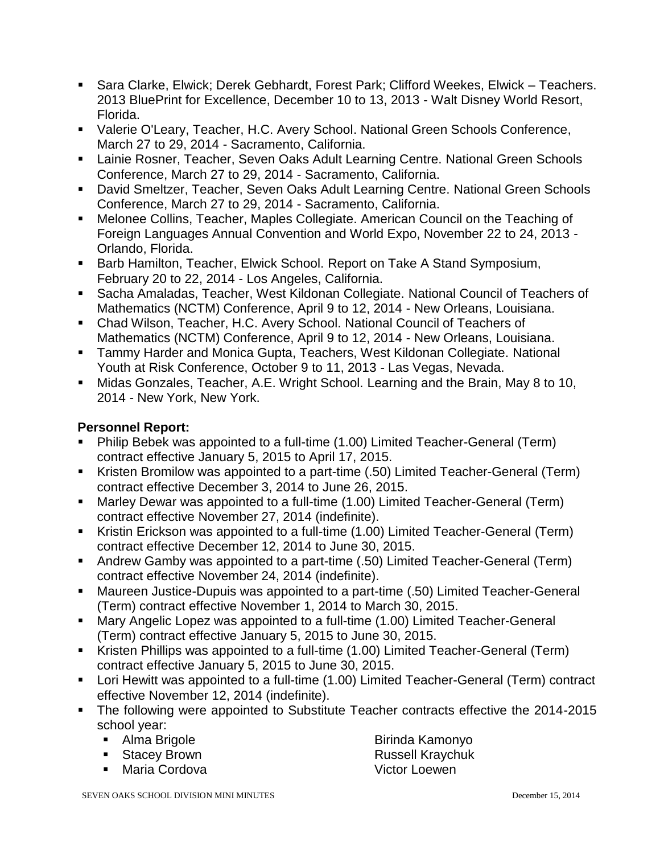- Sara Clarke, Elwick; Derek Gebhardt, Forest Park; Clifford Weekes, Elwick Teachers. 2013 BluePrint for Excellence, December 10 to 13, 2013 - Walt Disney World Resort, Florida.
- Valerie O'Leary, Teacher, H.C. Avery School. National Green Schools Conference, March 27 to 29, 2014 - Sacramento, California.
- **E** Lainie Rosner, Teacher, Seven Oaks Adult Learning Centre. National Green Schools Conference, March 27 to 29, 2014 - Sacramento, California.
- David Smeltzer, Teacher, Seven Oaks Adult Learning Centre. National Green Schools Conference, March 27 to 29, 2014 - Sacramento, California.
- Melonee Collins, Teacher, Maples Collegiate. American Council on the Teaching of Foreign Languages Annual Convention and World Expo, November 22 to 24, 2013 - Orlando, Florida.
- Barb Hamilton, Teacher, Elwick School. Report on Take A Stand Symposium, February 20 to 22, 2014 - Los Angeles, California.
- Sacha Amaladas, Teacher, West Kildonan Collegiate. National Council of Teachers of Mathematics (NCTM) Conference, April 9 to 12, 2014 - New Orleans, Louisiana.
- Chad Wilson, Teacher, H.C. Avery School. National Council of Teachers of Mathematics (NCTM) Conference, April 9 to 12, 2014 - New Orleans, Louisiana.
- **Tammy Harder and Monica Gupta, Teachers, West Kildonan Collegiate. National 4** Youth at Risk Conference, October 9 to 11, 2013 - Las Vegas, Nevada.
- Midas Gonzales, Teacher, A.E. Wright School. Learning and the Brain, May 8 to 10, 2014 - New York, New York.

## **Personnel Report:**

- Philip Bebek was appointed to a full-time (1.00) Limited Teacher-General (Term) contract effective January 5, 2015 to April 17, 2015.
- Kristen Bromilow was appointed to a part-time (.50) Limited Teacher-General (Term) contract effective December 3, 2014 to June 26, 2015.
- Marley Dewar was appointed to a full-time (1.00) Limited Teacher-General (Term) contract effective November 27, 2014 (indefinite).
- Kristin Erickson was appointed to a full-time (1.00) Limited Teacher-General (Term) contract effective December 12, 2014 to June 30, 2015.
- Andrew Gamby was appointed to a part-time (.50) Limited Teacher-General (Term) contract effective November 24, 2014 (indefinite).
- Maureen Justice-Dupuis was appointed to a part-time (.50) Limited Teacher-General (Term) contract effective November 1, 2014 to March 30, 2015.
- Mary Angelic Lopez was appointed to a full-time (1.00) Limited Teacher-General (Term) contract effective January 5, 2015 to June 30, 2015.
- Kristen Phillips was appointed to a full-time (1.00) Limited Teacher-General (Term) contract effective January 5, 2015 to June 30, 2015.
- Lori Hewitt was appointed to a full-time (1.00) Limited Teacher-General (Term) contract effective November 12, 2014 (indefinite).
- The following were appointed to Substitute Teacher contracts effective the 2014-2015 school year:
	- Alma Brigole
	- **Stacey Brown**
	- Maria Cordova

Birinda Kamonyo Russell Kraychuk Victor Loewen